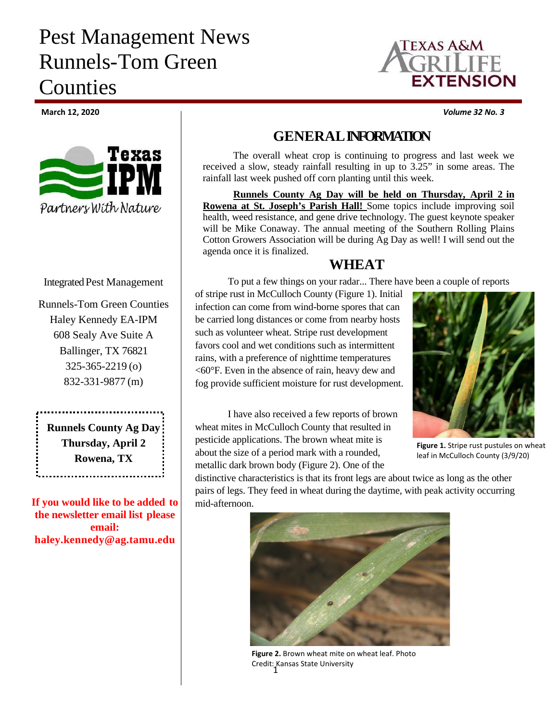# Pest Management News Runnels-Tom Green Counties



**March 12, 2020** *Volume 32 No. 3*



#### Integrated Pest Management

Runnels-Tom Green Counties Haley Kennedy EA-IPM 608 Sealy Ave Suite A Ballinger, TX 76821 325-365-2219 (o) 832-331-9877 (m)

**Runnels County Ag Day Thursday, April 2 Rowena, TX**

**If you would like to be added to the newsletter email list please email: haley.kennedy@ag.tamu.edu**

### **GENERALINFORMATION**

The overall wheat crop is continuing to progress and last week we received a slow, steady rainfall resulting in up to 3.25" in some areas. The rainfall last week pushed off corn planting until this week.

**Runnels County Ag Day will be held on Thursday, April 2 in Rowena at St. Joseph's Parish Hall!** Some topics include improving soil health, weed resistance, and gene drive technology. The guest keynote speaker will be Mike Conaway. The annual meeting of the Southern Rolling Plains Cotton Growers Association will be during Ag Day as well! I will send out the agenda once it is finalized.

#### **WHEAT**

To put a few things on your radar... There have been a couple of reports

of stripe rust in McCulloch County (Figure 1). Initial infection can come from wind-borne spores that can be carried long distances or come from nearby hosts such as volunteer wheat. Stripe rust development favors cool and wet conditions such as intermittent rains, with a preference of nighttime temperatures <60°F. Even in the absence of rain, heavy dew and fog provide sufficient moisture for rust development.



**Figure 1.** Stripe rust pustules on wheat leaf in McCulloch County (3/9/20)

I have also received a few reports of brown wheat mites in McCulloch County that resulted in pesticide applications. The brown wheat mite is about the size of a period mark with a rounded, metallic dark brown body (Figure 2). One of the

distinctive characteristics is that its front legs are about twice as long as the other pairs of legs. They feed in wheat during the daytime, with peak activity occurring mid-afternoon.



1 Credit: Kansas State University**Figure 2.** Brown wheat mite on wheat leaf. Photo